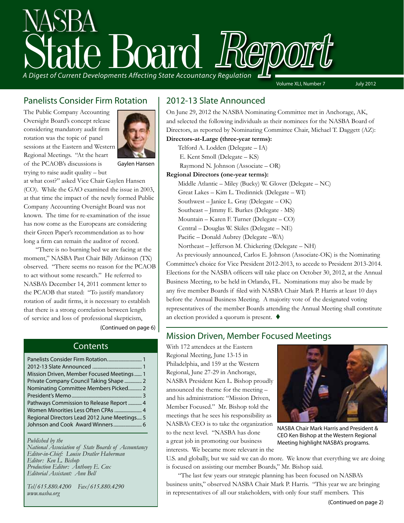# State Board Report *A Digest of Current Developments Affecting State Accountancy Regulation*

Volume XLI, Number 7 July 2012

### Panelists Consider Firm Rotation

The Public Company Accounting Oversight Board's concept release considering mandatory audit firm rotation was the topic of panel sessions at the Eastern and Western Regional Meetings. "At the heart of the PCAOB's discussions is trying to raise audit quality – but



Gaylen Hansen

at what cost?" asked Vice Chair Gaylen Hansen (CO). While the GAO examined the issue in 2003, at that time the impact of the newly formed Public Company Accounting Oversight Board was not known. The time for re-examination of the issue has now come as the Europeans are considering their Green Paper's recommendation as to how long a firm can remain the auditor of record.

"There is no burning bed we are facing at the moment," NASBA Past Chair Billy Atkinson (TX) observed. "There seems no reason for the PCAOB to act without some research." He referred to NASBA's December 14, 2011 comment letter to the PCAOB that stated: "To justify mandatory rotation of audit firms, it is necessary to establish that there is a strong correlation between length of service and loss of professional skepticism,

(Continued on page 6)

### **Contents**

| Mission Driven, Member Focused Meetings 1    |  |
|----------------------------------------------|--|
| Private Company Council Taking Shape  2      |  |
| Nominating Committee Members Picked 2        |  |
|                                              |  |
| Pathways Commission to Release Report  4     |  |
| Women Minorities Less Often CPAs  4          |  |
| Regional Directors Lead 2012 June Meetings 5 |  |
|                                              |  |

*Published by the* 

*National Association of State Boards of Accountancy Editor-in-Chief: Louise Dratler Haberman Editor: Ken L. Bishop Production Editor: Anthony E. Cox Editorial Assistant: Ann Bell* 

*Tel/615.880.4200 Fax/615.880.4290 www.nasba.org*

### 2012-13 Slate Announced

On June 29, 2012 the NASBA Nominating Committee met in Anchorage, AK, and selected the following individuals as their nominees for the NASBA Board of Directors, as reported by Nominating Committee Chair, Michael T. Daggett (AZ):

- **Directors-at-Large (three-year terms):**
	- Telford A. Lodden (Delegate IA)
	- E. Kent Smoll (Delegate KS)

Raymond N. Johnson (Associate – OR)

#### **Regional Directors (one-year terms):**

Middle Atlantic – Miley (Bucky) W. Glover (Delegate – NC) Great Lakes – Kim L. Tredinnick (Delegate – WI) Southwest – Janice L. Gray (Delegate – OK) Southeast – Jimmy E. Burkes (Delegate - MS) Mountain – Karen F. Turner (Delegate – CO) Central – Douglas W. Skiles (Delegate – NE) Pacific – Donald Aubrey (Delegate –WA) Northeast – Jefferson M. Chickering (Delegate – NH)

 As previously announced, Carlos E. Johnson (Associate-OK) is the Nominating Committee's choice for Vice President 2012-2013, to accede to President 2013-2014. Elections for the NASBA officers will take place on October 30, 2012, at the Annual Business Meeting, to be held in Orlando, FL. Nominations may also be made by any five member Boards if filed with NASBA Chair Mark P. Harris at least 10 days before the Annual Business Meeting. A majority vote of the designated voting representatives of the member Boards attending the Annual Meeting shall constitute an election provided a quorum is present.  $\blacklozenge$ 

### Mission Driven, Member Focused Meetings

With 172 attendees at the Eastern Regional Meeting, June 13-15 in Philadelphia, and 159 at the Western Regional, June 27-29 in Anchorage, NASBA President Ken L. Bishop proudly announced the theme for the meeting – and his administration: "Mission Driven, Member Focused." Mr. Bishop told the meetings that he sees his responsibility as NASBA's CEO is to take the organization to the next level. "NASBA has done a great job in promoting our business interests. We became more relevant in the



NASBA Chair Mark Harris and President & CEO Ken Bishop at the Western Regional Meeting highlight NASBA's programs.

U.S. and globally, but we said we can do more. We know that everything we are doing is focused on assisting our member Boards," Mr. Bishop said.

"The last few years our strategic planning has been focused on NASBA's business units," observed NASBA Chair Mark P. Harris. "This year we are bringing in representatives of all our stakeholders, with only four staff members. This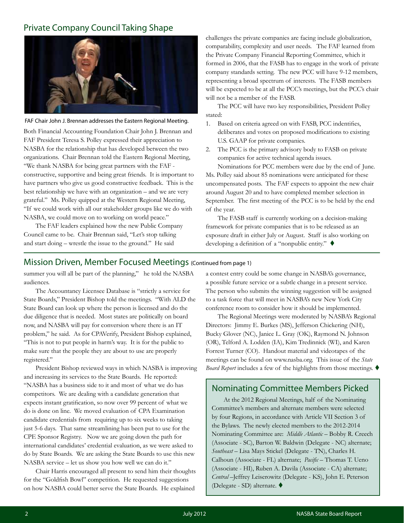### Private Company Council Taking Shape



FAF Chair John J. Brennan addresses the Eastern Regional Meeting.

Both Financial Accounting Foundation Chair John J. Brennan and FAF President Teresa S. Polley expressed their appreciation to NASBA for the relationship that has developed between the two organizations. Chair Brennan told the Eastern Regional Meeting, "We thank NASBA for being great partners with the FAF constructive, supportive and being great friends. It is important to have partners who give us good constructive feedback. This is the best relationship we have with an organization – and we are very grateful." Ms. Polley quipped at the Western Regional Meeting, "If we could work with all our stakeholder groups like we do with NASBA, we could move on to working on world peace."

The FAF leaders explained how the new Public Company Council came to be. Chair Brennan said, "Let's stop talking and start doing – wrestle the issue to the ground." He said

challenges the private companies are facing include globalization, comparability, complexity and user needs. The FAF learned from the Private Company Financial Reporting Committee, which it formed in 2006, that the FASB has to engage in the work of private company standards setting. The new PCC will have 9-12 members, representing a broad spectrum of interests. The FASB members will be expected to be at all the PCC's meetings, but the PCC's chair will not be a member of the FASB.

The PCC will have two key responsibilities, President Polley stated:

- 1. Based on criteria agreed on with FASB, PCC indentifies, deliberates and votes on proposed modifications to existing U.S. GAAP for private companies.
- 2. The PCC is the primary advisory body to FASB on private companies for active technical agenda issues.

Nominations for PCC members were due by the end of June. Ms. Polley said about 85 nominations were anticipated for these uncompensated posts. The FAF expects to appoint the new chair around August 20 and to have completed member selection in September. The first meeting of the PCC is to be held by the end of the year.

The FASB staff is currently working on a decision-making framework for private companies that is to be released as an exposure draft in either July or August. Staff is also working on developing a definition of a "nonpublic entity."  $\blacklozenge$ 

### Mission Driven, Member Focused Meetings (Continued from page 1)

summer you will all be part of the planning," he told the NASBA audiences.

The Accountancy Licensee Database is "strictly a service for State Boards," President Bishop told the meetings. "With ALD the State Board can look up where the person is licensed and do the due diligence that is needed. Most states are politically on board now, and NASBA will pay for conversion where there is an IT problem," he said. As for CPAVerify, President Bishop explained, "This is not to put people in harm's way. It is for the public to make sure that the people they are about to use are properly registered."

President Bishop reviewed ways in which NASBA is improving and increasing its services to the State Boards. He reported: "NASBA has a business side to it and most of what we do has competitors. We are dealing with a candidate generation that expects instant gratification, so now over 99 percent of what we do is done on line. We moved evaluation of CPA Examination candidate credentials from requiring up to six weeks to taking just 5-6 days. That same streamlining has been put to use for the CPE Sponsor Registry. Now we are going down the path for international candidates' credential evaluation, as we were asked to do by State Boards. We are asking the State Boards to use this new NASBA service – let us show you how well we can do it."

Chair Harris encouraged all present to send him their thoughts for the "Goldfish Bowl" competition. He requested suggestions on how NASBA could better serve the State Boards. He explained

a contest entry could be some change in NASBA's governance, a possible future service or a subtle change in a present service. The person who submits the winning suggestion will be assigned to a task force that will meet in NASBA's new New York City conference room to consider how it should be implemented.

The Regional Meetings were moderated by NASBA's Regional Directors: Jimmy E. Burkes (MS), Jefferson Chickering (NH), Bucky Glover (NC), Janice L. Gray (OK), Raymond N. Johnson (OR), Telford A. Lodden (IA), Kim Tredinnick (WI), and Karen Forrest Turner (CO). Handout material and videotapes of the meetings can be found on www.nasba.org. This issue of the *State*  Board Report includes a few of the highlights from those meetings.

### Nominating Committee Members Picked

At the 2012 Regional Meetings, half of the Nominating Committee's members and alternate members were selected by four Regions, in accordance with Article VII Section 3 of the Bylaws. The newly elected members to the 2012-2014 Nominating Committee are: *Middle Atlantic* – Bobby R. Creech (Associate - SC), Barton W. Baldwin (Delegate - NC) alternate; *Southeast* – Lisa Mays Stickel (Delegate - TN), Charles H. Calhoun (Associate - FL) alternate; *Pacific* – Thomas T. Ueno (Associate - HI), Ruben A. Davila (Associate - CA) alternate; *Central* –Jeffrey Leiserowitz (Delegate - KS), John E. Peterson (Delegate - SD) alternate.  $\blacklozenge$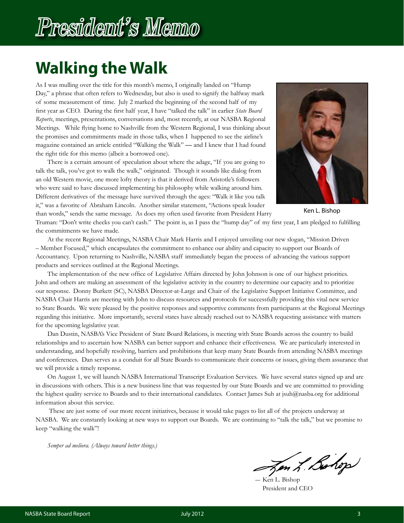## President's Memo

### **Walking the Walk**

As I was mulling over the title for this month's memo, I originally landed on "Hump Day," a phrase that often refers to Wednesday, but also is used to signify the halfway mark of some measurement of time. July 2 marked the beginning of the second half of my first year as CEO. During the first half year, I have "talked the talk" in earlier *State Board Reports*, meetings, presentations, conversations and, most recently, at our NASBA Regional Meetings. While flying home to Nashville from the Western Regional, I was thinking about the promises and commitments made in those talks, when I happened to see the airline's magazine contained an article entitled "Walking the Walk" **—** and I knew that I had found the right title for this memo (albeit a borrowed one).

There is a certain amount of speculation about where the adage, "If you are going to talk the talk, you've got to walk the walk," originated. Though it sounds like dialog from an old Western movie, one more lofty theory is that it derived from Aristotle's followers who were said to have discussed implementing his philosophy while walking around him. Different derivatives of the message have survived through the ages: "Walk it like you talk it," was a favorite of Abraham Lincoln. Another similar statement, "Actions speak louder than words," sends the same message. As does my often used favorite from President Harry



Ken L. Bishop

Truman: "Don't write checks you can't cash." The point is, as I pass the "hump day" of my first year, I am pledged to fulfilling the commitments we have made.

At the recent Regional Meetings, NASBA Chair Mark Harris and I enjoyed unveiling our new slogan, "Mission Driven – Member Focused," which encapsulates the commitment to enhance our ability and capacity to support our Boards of Accountancy. Upon returning to Nashville, NASBA staff immediately began the process of advancing the various support products and services outlined at the Regional Meetings.

The implementation of the new office of Legislative Affairs directed by John Johnson is one of our highest priorities. John and others are making an assessment of the legislative activity in the country to determine our capacity and to prioritize our response. Donny Burkett (SC), NASBA Director-at-Large and Chair of the Legislative Support Initiative Committee, and NASBA Chair Harris are meeting with John to discuss resources and protocols for successfully providing this vital new service to State Boards. We were pleased by the positive responses and supportive comments from participants at the Regional Meetings regarding this initiative. More importantly, several states have already reached out to NASBA requesting assistance with matters for the upcoming legislative year.

Dan Dustin, NASBA's Vice President of State Board Relations, is meeting with State Boards across the country to build relationships and to ascertain how NASBA can better support and enhance their effectiveness. We are particularly interested in understanding, and hopefully resolving, barriers and prohibitions that keep many State Boards from attending NASBA meetings and conferences. Dan serves as a conduit for all State Boards to communicate their concerns or issues, giving them assurance that we will provide a timely response.

On August 1, we will launch NASBA International Transcript Evaluation Services. We have several states signed up and are in discussions with others. This is a new business line that was requested by our State Boards and we are committed to providing the highest quality service to Boards and to their international candidates. Contact James Suh at jsuh@nasba.org for additional information about this service.

 These are just some of our more recent initiatives, because it would take pages to list all of the projects underway at NASBA. We are constantly looking at new ways to support our Boards. We are continuing to "talk the talk," but we promise to keep "walking the walk"!

*Semper ad meliora. (Always toward better things.)*

Jen L. Bohop

Ken L. Bishop President and CEO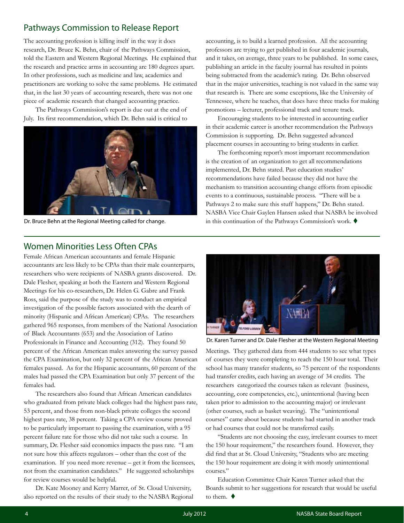### Pathways Commission to Release Report

The accounting profession is killing itself in the way it does research, Dr. Bruce K. Behn, chair of the Pathways Commission, told the Eastern and Western Regional Meetings. He explained that the research and practice arms in accounting are 180 degrees apart. In other professions, such as medicine and law, academics and practitioners are working to solve the same problems. He estimated that, in the last 30 years of accounting research, there was not one piece of academic research that changed accounting practice.

The Pathways Commission's report is due out at the end of July. Its first recommendation, which Dr. Behn said is critical to



Dr. Bruce Behn at the Regional Meeting called for change.

accounting, is to build a learned profession. All the accounting professors are trying to get published in four academic journals, and it takes, on average, three years to be published. In some cases, publishing an article in the faculty journal has resulted in points being subtracted from the academic's rating. Dr. Behn observed that in the major universities, teaching is not valued in the same way that research is. There are some exceptions, like the University of Tennessee, where he teaches, that does have three tracks for making promotions – lecturer, professional track and tenure track.

Encouraging students to be interested in accounting earlier in their academic career is another recommendation the Pathways Commission is supporting. Dr. Behn suggested advanced placement courses in accounting to bring students in earlier.

The forthcoming report's most important recommendation is the creation of an organization to get all recommendations implemented, Dr. Behn stated. Past education studies' recommendations have failed because they did not have the mechanism to transition accounting change efforts from episodic events to a continuous, sustainable process. "There will be a Pathways 2 to make sure this stuff happens," Dr. Behn stated. NASBA Vice Chair Gaylen Hansen asked that NASBA be involved in this continuation of the Pathways Commission's work.  $\blacklozenge$ 

### Women Minorities Less Often CPAs

Female African American accountants and female Hispanic accountants are less likely to be CPAs than their male counterparts, researchers who were recipients of NASBA grants discovered. Dr. Dale Flesher, speaking at both the Eastern and Western Regional Meetings for his co-researchers, Dr. Helen G. Gabre and Frank Ross, said the purpose of the study was to conduct an empirical investigation of the possible factors associated with the dearth of minority (Hispanic and African American) CPAs. The researchers gathered 965 responses, from members of the National Association of Black Accountants (653) and the Association of Latino Professionals in Finance and Accounting (312). They found 50 percent of the African American males answering the survey passed the CPA Examination, but only 32 percent of the African American females passed. As for the Hispanic accountants, 60 percent of the males had passed the CPA Examination but only 37 percent of the females had.

The researchers also found that African American candidates who graduated from private black colleges had the highest pass rate, 53 percent, and those from non-black private colleges the second highest pass rate, 38 percent. Taking a CPA review course proved to be particularly important to passing the examination, with a 95 percent failure rate for those who did not take such a course. In summary, Dr. Flesher said economics impacts the pass rate. "I am not sure how this affects regulators – other than the cost of the examination. If you need more revenue – get it from the licensees, not from the examination candidates." He suggested scholarships for review courses would be helpful.

Dr. Kate Mooney and Kerry Marrer, of St. Cloud University, also reported on the results of their study to the NASBA Regional



Meetings. They gathered data from 444 students to see what types of courses they were completing to reach the 150 hour total. Their school has many transfer students, so 75 percent of the respondents had transfer credits, each having an average of 34 credits. The researchers categorized the courses taken as relevant (business, accounting, core competencies, etc.), unintentional (having been taken prior to admission to the accounting major) or irrelevant (other courses, such as basket weaving). The "unintentional courses" came about because students had started in another track or had courses that could not be transferred easily.

"Students are not choosing the easy, irrelevant courses to meet the 150 hour requirement," the researchers found. However, they did find that at St. Cloud University, "Students who are meeting the 150 hour requirement are doing it with mostly unintentional courses."

Education Committee Chair Karen Turner asked that the Boards submit to her suggestions for research that would be useful to them.  $\blacklozenge$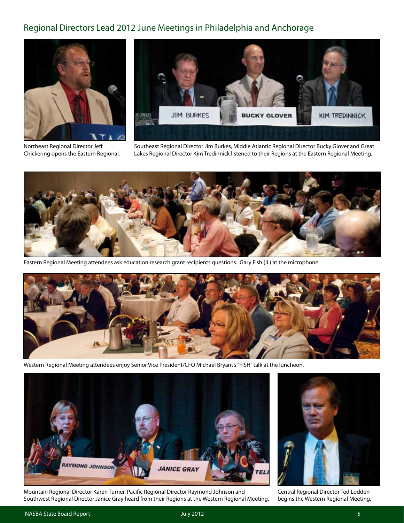### Regional Directors Lead 2012 June Meetings in Philadelphia and Anchorage





Northeast Regional Director Jeff Chickering opens the Eastern Regional.

Southeast Regional Director Jim Burkes, Middle Atlantic Regional Director Bucky Glover and Great Lakes Regional Director Kim Tredinnick listened to their Regions at the Eastern Regional Meeting.



Eastern Regional Meeting attendees ask education research grant recipients questions. Gary Fish (IL) at the microphone.



Western Regional Meeting attendees enjoy Senior Vice President/CFO Michael Bryant's "FISH" talk at the luncheon.



Mountain Regional Director Karen Turner, Pacific Regional Director Raymond Johnson and Southwest Regional Director Janice Gray heard from their Regions at the Western Regional Meeting.



Central Regional Director Ted Lodden begins the Western Regional Meeting.